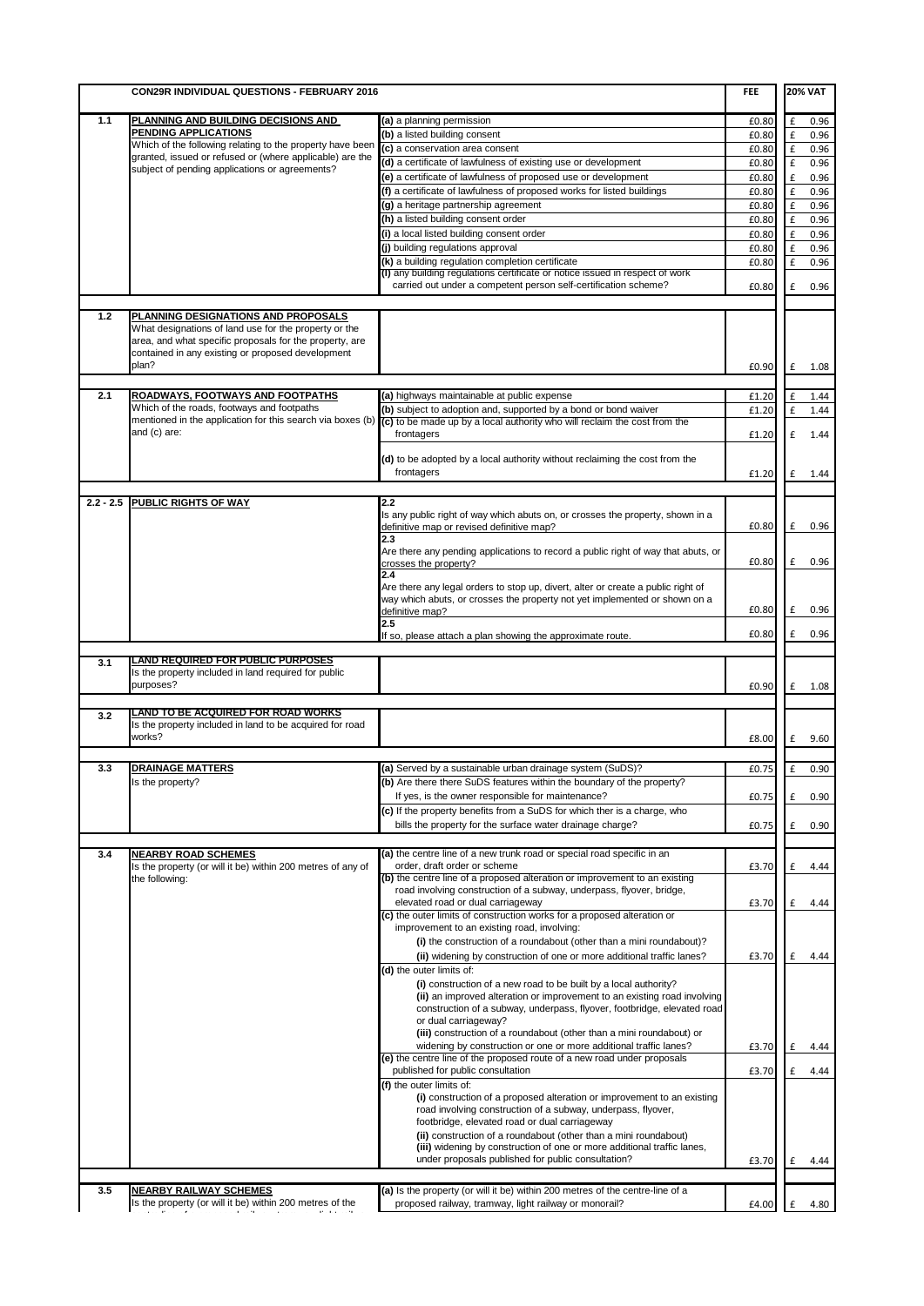|     | CON29R INDIVIDUAL QUESTIONS - FEBRUARY 2016                                                                                                                                                                           |                                                                                                                                                                                          |       | <b>20% VAT</b>      |
|-----|-----------------------------------------------------------------------------------------------------------------------------------------------------------------------------------------------------------------------|------------------------------------------------------------------------------------------------------------------------------------------------------------------------------------------|-------|---------------------|
| 1.1 | <u>PLANNING AND BUILDING DECISIONS AND</u>                                                                                                                                                                            | (a) a planning permission                                                                                                                                                                | £0.80 | £<br>0.96           |
|     | PENDING APPLICATIONS                                                                                                                                                                                                  | (b) a listed building consent                                                                                                                                                            | £0.80 | £<br>0.96           |
|     | Which of the following relating to the property have been                                                                                                                                                             | (c) a conservation area consent                                                                                                                                                          | £0.80 | £<br>0.96           |
|     | granted, issued or refused or (where applicable) are the                                                                                                                                                              | (d) a certificate of lawfulness of existing use or development                                                                                                                           | £0.80 | £<br>0.96           |
|     | subject of pending applications or agreements?                                                                                                                                                                        | (e) a certificate of lawfulness of proposed use or development                                                                                                                           | £0.80 | $\mathbf f$<br>0.96 |
|     |                                                                                                                                                                                                                       | (f) a certificate of lawfulness of proposed works for listed buildings                                                                                                                   | £0.80 | £<br>0.96           |
|     |                                                                                                                                                                                                                       | (g) a heritage partnership agreement                                                                                                                                                     | £0.80 | $\mathbf f$<br>0.96 |
|     |                                                                                                                                                                                                                       | (h) a listed building consent order                                                                                                                                                      | £0.80 | $\mathbf f$<br>0.96 |
|     |                                                                                                                                                                                                                       | (i) a local listed building consent order                                                                                                                                                | £0.80 | $\mathbf f$<br>0.96 |
|     |                                                                                                                                                                                                                       | (j) building regulations approval                                                                                                                                                        | £0.80 | $\mathbf f$<br>0.96 |
|     |                                                                                                                                                                                                                       | (k) a building regulation completion certificate                                                                                                                                         | £0.80 | £<br>0.96           |
|     |                                                                                                                                                                                                                       | (I) any building regulations certificate or notice issued in respect of work                                                                                                             |       |                     |
|     |                                                                                                                                                                                                                       | carried out under a competent person self-certification scheme?                                                                                                                          | £0.80 | £<br>0.96           |
| 1.2 | PLANNING DESIGNATIONS AND PROPOSALS<br>What designations of land use for the property or the<br>area, and what specific proposals for the property, are<br>contained in any existing or proposed development<br>plan? |                                                                                                                                                                                          | £0.90 | £<br>1.08           |
| 2.1 | ROADWAYS, FOOTWAYS AND FOOTPATHS                                                                                                                                                                                      | (a) highways maintainable at public expense                                                                                                                                              | £1.20 | 1.44<br>£           |
|     | Which of the roads, footways and footpaths                                                                                                                                                                            | (b) subject to adoption and, supported by a bond or bond waiver                                                                                                                          | £1.20 | £<br>1.44           |
|     | mentioned in the application for this search via boxes (b)<br>and (c) are:                                                                                                                                            | (c) to be made up by a local authority who will reclaim the cost from the                                                                                                                |       |                     |
|     |                                                                                                                                                                                                                       | frontagers<br>(d) to be adopted by a local authority without reclaiming the cost from the                                                                                                | £1.20 | £<br>1.44           |
|     |                                                                                                                                                                                                                       | frontagers                                                                                                                                                                               | £1.20 | £<br>1.44           |
|     |                                                                                                                                                                                                                       |                                                                                                                                                                                          |       |                     |
|     | 2.2 - 2.5 PUBLIC RIGHTS OF WAY                                                                                                                                                                                        | 2.2<br>Is any public right of way which abuts on, or crosses the property, shown in a                                                                                                    |       |                     |
|     |                                                                                                                                                                                                                       | definitive map or revised definitive map?<br>2.3                                                                                                                                         | £0.80 | £<br>0.96           |
|     |                                                                                                                                                                                                                       | Are there any pending applications to record a public right of way that abuts, or<br>crosses the property?                                                                               | £0.80 | £<br>0.96           |
|     |                                                                                                                                                                                                                       | 2.4<br>Are there any legal orders to stop up, divert, alter or create a public right of<br>way which abuts, or crosses the property not yet implemented or shown on a<br>definitive map? | £0.80 | £<br>0.96           |
|     |                                                                                                                                                                                                                       | 2.5                                                                                                                                                                                      |       |                     |
|     |                                                                                                                                                                                                                       | If so, please attach a plan showing the approximate route.                                                                                                                               | £0.80 | £<br>0.96           |
| 3.1 | <b>LAND REQUIRED FOR PUBLIC PURPOSES</b>                                                                                                                                                                              |                                                                                                                                                                                          |       |                     |
|     | Is the property included in land required for public<br>purposes?                                                                                                                                                     |                                                                                                                                                                                          | £0.90 | £<br>1.08           |
|     |                                                                                                                                                                                                                       |                                                                                                                                                                                          |       |                     |
| 3.2 | <b>LAND TO BE ACQUIRED FOR ROAD WORKS</b><br>Is the property included in land to be acquired for road<br>works?                                                                                                       |                                                                                                                                                                                          | £8.00 | £<br>9.60           |
| 3.3 | <b>DRAINAGE MATTERS</b>                                                                                                                                                                                               | (a) Served by a sustainable urban drainage system (SuDS)?                                                                                                                                | £0.75 | 0.90<br>£           |
|     | Is the property?                                                                                                                                                                                                      | (b) Are there there SuDS features within the boundary of the property?                                                                                                                   |       |                     |
|     |                                                                                                                                                                                                                       | If yes, is the owner responsible for maintenance?                                                                                                                                        |       | £                   |
|     |                                                                                                                                                                                                                       | (c) If the property benefits from a SuDS for which ther is a charge, who                                                                                                                 | £0.75 | 0.90                |
|     |                                                                                                                                                                                                                       | bills the property for the surface water drainage charge?                                                                                                                                | £0.75 | £<br>0.90           |
|     |                                                                                                                                                                                                                       |                                                                                                                                                                                          |       |                     |
| 3.4 | <b>NEARBY ROAD SCHEMES</b>                                                                                                                                                                                            | (a) the centre line of a new trunk road or special road specific in an                                                                                                                   |       |                     |
|     | Is the property (or will it be) within 200 metres of any of<br>the following:                                                                                                                                         | order, draft order or scheme<br>(b) the centre line of a proposed alteration or improvement to an existing                                                                               | £3.70 | £<br>4.44           |
|     |                                                                                                                                                                                                                       | road involving construction of a subway, underpass, flyover, bridge,<br>elevated road or dual carriageway                                                                                | £3.70 | £<br>4.44           |
|     |                                                                                                                                                                                                                       | (c) the outer limits of construction works for a proposed alteration or<br>improvement to an existing road, involving:                                                                   |       |                     |
|     |                                                                                                                                                                                                                       | (i) the construction of a roundabout (other than a mini roundabout)?<br>(ii) widening by construction of one or more additional traffic lanes?                                           | £3.70 | £<br>4.44           |
|     |                                                                                                                                                                                                                       | (d) the outer limits of:<br>(i) construction of a new road to be built by a local authority?                                                                                             |       |                     |
|     |                                                                                                                                                                                                                       | (ii) an improved alteration or improvement to an existing road involving<br>construction of a subway, underpass, flyover, footbridge, elevated road<br>or dual carriageway?              |       |                     |
|     |                                                                                                                                                                                                                       | (iii) construction of a roundabout (other than a mini roundabout) or<br>widening by construction or one or more additional traffic lanes?                                                | £3.70 | £<br>4.44           |
|     |                                                                                                                                                                                                                       | (e) the centre line of the proposed route of a new road under proposals<br>published for public consultation                                                                             | £3.70 | £<br>4.44           |
|     |                                                                                                                                                                                                                       | (f) the outer limits of:<br>(i) construction of a proposed alteration or improvement to an existing<br>road involving construction of a subway, underpass, flyover,                      |       |                     |
|     |                                                                                                                                                                                                                       | footbridge, elevated road or dual carriageway                                                                                                                                            |       |                     |
|     |                                                                                                                                                                                                                       | (ii) construction of a roundabout (other than a mini roundabout)<br>(iii) widening by construction of one or more additional traffic lanes,                                              |       |                     |
|     |                                                                                                                                                                                                                       | under proposals published for public consultation?                                                                                                                                       | £3.70 | £<br>4.44           |
| 3.5 | <b>NEARBY RAILWAY SCHEMES</b>                                                                                                                                                                                         | (a) Is the property (or will it be) within 200 metres of the centre-line of a                                                                                                            |       |                     |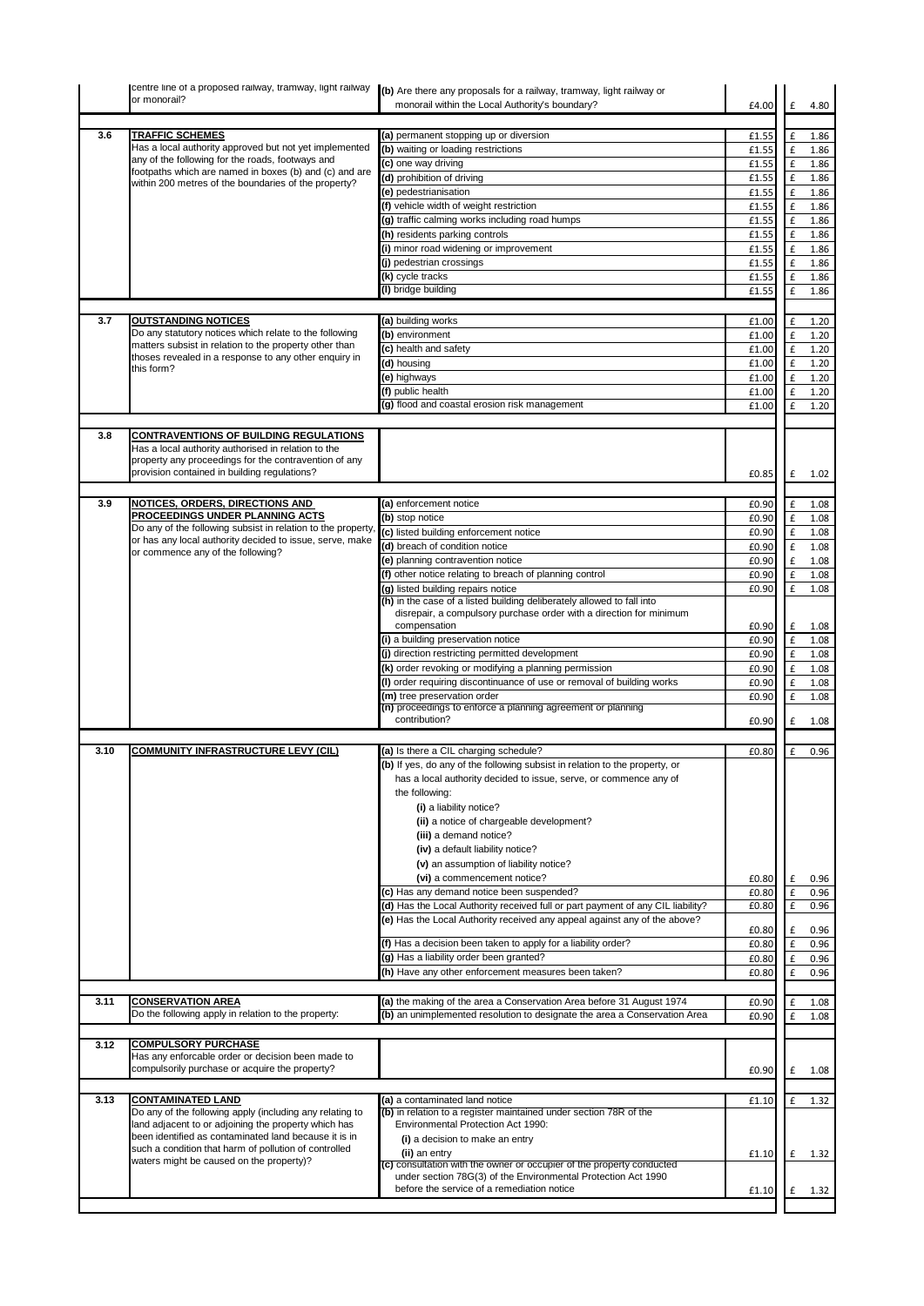|      | centre line of a proposed railway, tramway, light railway<br>or monorail?                                                                                                                                     | (b) Are there any proposals for a railway, tramway, light railway or<br>monorail within the Local Authority's boundary?                       | £4.00          |                         | 4.80         |
|------|---------------------------------------------------------------------------------------------------------------------------------------------------------------------------------------------------------------|-----------------------------------------------------------------------------------------------------------------------------------------------|----------------|-------------------------|--------------|
|      |                                                                                                                                                                                                               |                                                                                                                                               |                |                         |              |
| 3.6  | <b>TRAFFIC SCHEMES</b>                                                                                                                                                                                        | (a) permanent stopping up or diversion                                                                                                        | £1.55          | £                       | 1.86         |
|      | Has a local authority approved but not yet implemented<br>any of the following for the roads, footways and                                                                                                    | (b) waiting or loading restrictions                                                                                                           | £1.55          | £                       | 1.86         |
|      | footpaths which are named in boxes (b) and (c) and are                                                                                                                                                        | (c) one way driving<br>(d) prohibition of driving                                                                                             | £1.55          | $\pmb{\mathsf{f}}$      | 1.86         |
|      | within 200 metres of the boundaries of the property?                                                                                                                                                          |                                                                                                                                               | £1.55          | £                       | 1.86         |
|      |                                                                                                                                                                                                               | (e) pedestrianisation                                                                                                                         | £1.55          | $\pmb{\mathsf{f}}$      | 1.86         |
|      |                                                                                                                                                                                                               | (f) vehicle width of weight restriction                                                                                                       | £1.55          | £                       | 1.86         |
|      |                                                                                                                                                                                                               | (g) traffic calming works including road humps                                                                                                | £1.55          | $\mathbf f$             | 1.86         |
|      |                                                                                                                                                                                                               | (h) residents parking controls<br>(i) minor road widening or improvement                                                                      | £1.55<br>£1.55 | £<br>$\mathbf f$        | 1.86<br>1.86 |
|      |                                                                                                                                                                                                               | (j) pedestrian crossings                                                                                                                      |                |                         |              |
|      |                                                                                                                                                                                                               | (k) cycle tracks                                                                                                                              | £1.55<br>£1.55 | $\pmb{\mathsf{f}}$<br>£ | 1.86<br>1.86 |
|      |                                                                                                                                                                                                               | (I) bridge building                                                                                                                           | £1.55          | £                       | 1.86         |
|      |                                                                                                                                                                                                               |                                                                                                                                               |                |                         |              |
| 3.7  | <b>OUTSTANDING NOTICES</b>                                                                                                                                                                                    | (a) building works                                                                                                                            | £1.00          | £                       | 1.20         |
|      | Do any statutory notices which relate to the following                                                                                                                                                        | (b) environment                                                                                                                               | £1.00          | £                       | 1.20         |
|      | matters subsist in relation to the property other than                                                                                                                                                        | (c) health and safety                                                                                                                         | £1.00          | £                       | 1.20         |
|      | thoses revealed in a response to any other enquiry in                                                                                                                                                         | (d) housing                                                                                                                                   | £1.00          | £                       | 1.20         |
|      | this form?                                                                                                                                                                                                    | (e) highways                                                                                                                                  | £1.00          | £                       | 1.20         |
|      |                                                                                                                                                                                                               | (f) public health                                                                                                                             | £1.00          | £                       | 1.20         |
|      |                                                                                                                                                                                                               | (g) flood and coastal erosion risk management                                                                                                 | £1.00          | $\pmb{\mathsf{f}}$      | 1.20         |
|      |                                                                                                                                                                                                               |                                                                                                                                               |                |                         |              |
| 3.8  | <b>CONTRAVENTIONS OF BUILDING REGULATIONS</b><br>Has a local authority authorised in relation to the<br>property any proceedings for the contravention of any<br>provision contained in building regulations? |                                                                                                                                               | £0.85          | £                       | 1.02         |
|      |                                                                                                                                                                                                               |                                                                                                                                               |                |                         |              |
| 3.9  | <b>NOTICES, ORDERS, DIRECTIONS AND</b>                                                                                                                                                                        | (a) enforcement notice                                                                                                                        | £0.90          | £                       | 1.08         |
|      | PROCEEDINGS UNDER PLANNING ACTS<br>Do any of the following subsist in relation to the property                                                                                                                | (b) stop notice                                                                                                                               | £0.90          | £                       | 1.08         |
|      | or has any local authority decided to issue, serve, make                                                                                                                                                      | (c) listed building enforcement notice                                                                                                        | £0.90          | £                       | 1.08         |
|      | or commence any of the following?                                                                                                                                                                             | (d) breach of condition notice                                                                                                                | £0.90          | £                       | 1.08         |
|      |                                                                                                                                                                                                               | (e) planning contravention notice                                                                                                             | £0.90          | £                       | 1.08         |
|      |                                                                                                                                                                                                               | (f) other notice relating to breach of planning control                                                                                       | £0.90          | £                       | 1.08         |
|      |                                                                                                                                                                                                               | (g) listed building repairs notice                                                                                                            | £0.90          | £                       | 1.08         |
|      |                                                                                                                                                                                                               | (h) in the case of a listed building deliberately allowed to fall into<br>disrepair, a compulsory purchase order with a direction for minimum |                |                         |              |
|      |                                                                                                                                                                                                               | compensation                                                                                                                                  | £0.90          | £                       | 1.08         |
|      |                                                                                                                                                                                                               | (i) a building preservation notice                                                                                                            | £0.90          | $\mathbf f$             | 1.08         |
|      |                                                                                                                                                                                                               | (j) direction restricting permitted development                                                                                               | £0.90          | $\mathbf f$             | 1.08         |
|      |                                                                                                                                                                                                               | (k) order revoking or modifying a planning permission                                                                                         | £0.90          | £                       | 1.08         |
|      |                                                                                                                                                                                                               | (I) order requiring discontinuance of use or removal of building works                                                                        | £0.90          | £                       | 1.08         |
|      |                                                                                                                                                                                                               | (m) tree preservation order                                                                                                                   | £0.90          | £                       | 1.08         |
|      |                                                                                                                                                                                                               | (n) proceedings to enforce a planning agreement or planning                                                                                   |                |                         |              |
|      |                                                                                                                                                                                                               | contribution?                                                                                                                                 | £0.90          | £                       | 1.08         |
|      |                                                                                                                                                                                                               |                                                                                                                                               |                |                         |              |
| 3.10 | <b>COMMUNITY INFRASTRUCTURE LEVY (CIL)</b>                                                                                                                                                                    | (a) Is there a CIL charging schedule?                                                                                                         | £0.80          | £                       | 0.96         |
|      |                                                                                                                                                                                                               | (b) If yes, do any of the following subsist in relation to the property, or                                                                   |                |                         |              |
|      |                                                                                                                                                                                                               | has a local authority decided to issue, serve, or commence any of                                                                             |                |                         |              |
|      |                                                                                                                                                                                                               | the following:                                                                                                                                |                |                         |              |
|      |                                                                                                                                                                                                               | (i) a liability notice?                                                                                                                       |                |                         |              |
|      |                                                                                                                                                                                                               | (ii) a notice of chargeable development?                                                                                                      |                |                         |              |
|      |                                                                                                                                                                                                               | (iii) a demand notice?                                                                                                                        |                |                         |              |
|      |                                                                                                                                                                                                               | (iv) a default liability notice?                                                                                                              |                |                         |              |
|      |                                                                                                                                                                                                               | (v) an assumption of liability notice?                                                                                                        |                |                         |              |
|      |                                                                                                                                                                                                               | (vi) a commencement notice?                                                                                                                   | £0.80          | £                       | 0.96         |
|      |                                                                                                                                                                                                               | (c) Has any demand notice been suspended?                                                                                                     | £0.80          | £                       | 0.96         |
|      |                                                                                                                                                                                                               | (d) Has the Local Authority received full or part payment of any CIL liability?                                                               | £0.80          | £                       | 0.96         |
|      |                                                                                                                                                                                                               | (e) Has the Local Authority received any appeal against any of the above?                                                                     |                |                         |              |
|      |                                                                                                                                                                                                               |                                                                                                                                               | £0.80          | £                       | 0.96         |
|      |                                                                                                                                                                                                               | (f) Has a decision been taken to apply for a liability order?                                                                                 | £0.80          | £                       | 0.96         |
|      |                                                                                                                                                                                                               | (g) Has a liability order been granted?                                                                                                       | £0.80          | £                       | 0.96         |
|      |                                                                                                                                                                                                               | (h) Have any other enforcement measures been taken?                                                                                           | £0.80          | £                       | 0.96         |
| 3.11 |                                                                                                                                                                                                               | (a) the making of the area a Conservation Area before 31 August 1974                                                                          |                |                         |              |
|      | <b>CONSERVATION AREA</b><br>Do the following apply in relation to the property:                                                                                                                               | (b) an unimplemented resolution to designate the area a Conservation Area                                                                     | £0.90          | £                       | 1.08         |
|      |                                                                                                                                                                                                               |                                                                                                                                               | £0.90          | £                       | 1.08         |
| 3.12 | <b>COMPULSORY PURCHASE</b>                                                                                                                                                                                    |                                                                                                                                               |                |                         |              |
|      | Has any enforcable order or decision been made to                                                                                                                                                             |                                                                                                                                               |                |                         |              |
|      | compulsorily purchase or acquire the property?                                                                                                                                                                |                                                                                                                                               | £0.90          | £                       | 1.08         |
|      |                                                                                                                                                                                                               |                                                                                                                                               |                |                         |              |
| 3.13 | <b>CONTAMINATED LAND</b>                                                                                                                                                                                      | (a) a contaminated land notice                                                                                                                | £1.10          | £                       | 1.32         |
|      | Do any of the following apply (including any relating to                                                                                                                                                      | (b) in relation to a register maintained under section 78R of the                                                                             |                |                         |              |
|      | land adjacent to or adjoining the property which has                                                                                                                                                          | Environmental Protection Act 1990:                                                                                                            |                |                         |              |
|      | been identified as contaminated land because it is in<br>such a condition that harm of pollution of controlled                                                                                                | (i) a decision to make an entry                                                                                                               |                |                         |              |
|      | waters might be caused on the property)?                                                                                                                                                                      | (ii) an entry                                                                                                                                 | £1.10          | £                       | 1.32         |
|      |                                                                                                                                                                                                               | (c) consultation with the owner or occupier of the property conducted<br>under section 78G(3) of the Environmental Protection Act 1990        |                |                         |              |
|      |                                                                                                                                                                                                               | before the service of a remediation notice                                                                                                    | £1.10          | £                       | 1.32         |
|      |                                                                                                                                                                                                               |                                                                                                                                               |                |                         |              |